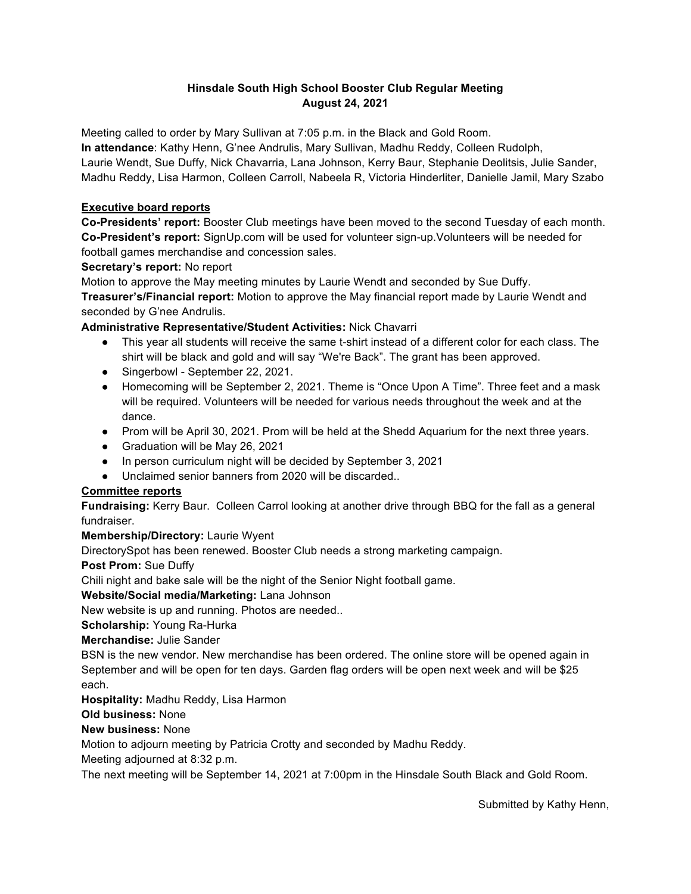# **Hinsdale South High School Booster Club Regular Meeting August 24, 2021**

Meeting called to order by Mary Sullivan at 7:05 p.m. in the Black and Gold Room.

**In attendance**: Kathy Henn, G'nee Andrulis, Mary Sullivan, Madhu Reddy, Colleen Rudolph, Laurie Wendt, Sue Duffy, Nick Chavarria, Lana Johnson, Kerry Baur, Stephanie Deolitsis, Julie Sander, Madhu Reddy, Lisa Harmon, Colleen Carroll, Nabeela R, Victoria Hinderliter, Danielle Jamil, Mary Szabo

# **Executive board reports**

**Co-Presidents' report:** Booster Club meetings have been moved to the second Tuesday of each month. **Co-President's report:** SignUp.com will be used for volunteer sign-up.Volunteers will be needed for football games merchandise and concession sales.

### **Secretary's report:** No report

Motion to approve the May meeting minutes by Laurie Wendt and seconded by Sue Duffy. **Treasurer's/Financial report:** Motion to approve the May financial report made by Laurie Wendt and seconded by G'nee Andrulis.

## **Administrative Representative/Student Activities:** Nick Chavarri

- This year all students will receive the same t-shirt instead of a different color for each class. The shirt will be black and gold and will say "We're Back". The grant has been approved.
- Singerbowl September 22, 2021.
- Homecoming will be September 2, 2021. Theme is "Once Upon A Time". Three feet and a mask will be required. Volunteers will be needed for various needs throughout the week and at the dance.
- Prom will be April 30, 2021. Prom will be held at the Shedd Aquarium for the next three years.
- Graduation will be May 26, 2021
- In person curriculum night will be decided by September 3, 2021
- Unclaimed senior banners from 2020 will be discarded..

## **Committee reports**

**Fundraising:** Kerry Baur. Colleen Carrol looking at another drive through BBQ for the fall as a general fundraiser.

## **Membership/Directory:** Laurie Wyent

DirectorySpot has been renewed. Booster Club needs a strong marketing campaign.

**Post Prom:** Sue Duffy

Chili night and bake sale will be the night of the Senior Night football game.

**Website/Social media/Marketing:** Lana Johnson

New website is up and running. Photos are needed..

**Scholarship:** Young Ra-Hurka

## **Merchandise:** Julie Sander

BSN is the new vendor. New merchandise has been ordered. The online store will be opened again in September and will be open for ten days. Garden flag orders will be open next week and will be \$25 each.

**Hospitality:** Madhu Reddy, Lisa Harmon

## **Old business:** None

## **New business:** None

Motion to adjourn meeting by Patricia Crotty and seconded by Madhu Reddy.

Meeting adjourned at 8:32 p.m.

The next meeting will be September 14, 2021 at 7:00pm in the Hinsdale South Black and Gold Room.